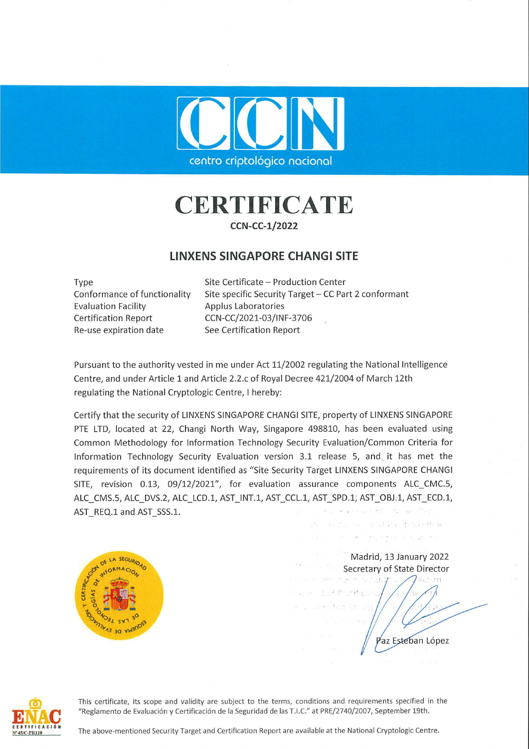

## **CERTIFICATE**

## CCN-CC-1/2022

## LINXENS SINGAPORE CHANGI SITE

Evaluation Facility **Applus Laboratories** Certification Report CCN-CC/2021-03/INF-3706 Re-use expiration date See Certification Report

Type Site Certificate – Production Center Conformance of functionality Site specific Security Target — CC Part 2 conformant

Pursuant to the authority vested in me under Act 11/2002 regulating the National Intelligence Centre, and under Article 1 and Article 2.2.c of Royal Decree 421/2004 of March 12th regulating the National Cryptologic Centre, I hereby:

Contro cipiediogle condonal<br>
Contro cipiediogle condonal<br>
CERTIFICATE<br>
UNXERS SINGAPORE CHANGISTE<br>
THE COME COMERCIAL INTERNATIONAL STRE<br>
The condition of the condition of the condition of the condition of the condition o Certify that the security of LINXENS SINGAPORE CHANGI SITE, property of LINXENS SINGAPORE PTE LTD, located at 22, Changi North Way, Singapore 498810, has been evaluated using **Common Methodology for Information Technology Security Evaluation/Common Criteria for** Information Technology Security Evaluation version 3.1 release 5, and. it has met the requirements of its document identified as "Site Security Target LINXENS SINGAPORE CHANGI SITE, revision 0.13, 09/12/2021", for evaluation assurance components ALC CMC.5, ALC\_CMS.5, ALC\_DVS.2, ALC\_LCD.1, AST\_INT.1, AST\_CCL.1, AST\_SPD.1;, AST\_OBJ:1, AST\_ECD.1, PTE LTD, located at 22, Changi North Way, Singapore 498810, has been evaluate<br>Common Methodology for Information Technology Security Evaluation/Common Crit<br>Information Technology Security Evaluation version 3.1 release 5, **LINXENS SINGAPORE CHANGI SITE**<br>
Site Certificate - Production Center<br>
Evaluation Facility<br>
Evaluation Certification Republished Certification Report<br>
Certification Report<br>
Certification Report<br>
Secretification Report<br>
Se



Madrid, 13 January 2022

+ ENAC N°45/C-PR110

This certificate, its scope and validity are subject to the terms, conditions and requirements specified in the "Reglamento de Evaluación y Certificación de la Seguridad de las T.1.C." at PRE/2740/2007, September 19th.